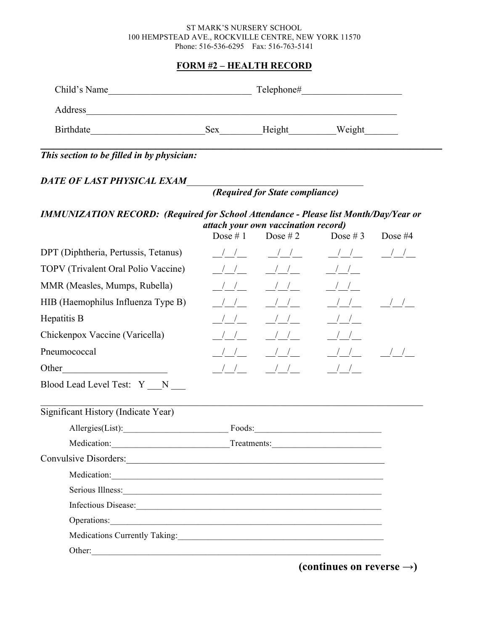#### ST MARK'S NURSERY SCHOOL 100 HEMPSTEAD AVE., ROCKVILLE CENTRE, NEW YORK 11570 Phone: 516-536-6295 Fax: 516-763-5141

#### **FORM #2 – HEALTH RECORD**

# *This section to be filled in by physician:*

## DATE OF LAST PHYSICAL EXAM\_\_\_

# *(Required for State compliance)*

#### *IMMUNIZATION RECORD: (Required for School Attendance - Please list Month/Day/Year or attach your own vaccination record)*

|                                                                                                                                                                                                                                | Dose $# 1$    | Dose # 2                                                              | Dose #3 Dose #4                                                                                                                                                                                                                                                                                                                                                                                                       |               |
|--------------------------------------------------------------------------------------------------------------------------------------------------------------------------------------------------------------------------------|---------------|-----------------------------------------------------------------------|-----------------------------------------------------------------------------------------------------------------------------------------------------------------------------------------------------------------------------------------------------------------------------------------------------------------------------------------------------------------------------------------------------------------------|---------------|
| DPT (Diphtheria, Pertussis, Tetanus)                                                                                                                                                                                           |               | $\frac{1}{2}$ $\frac{1}{2}$ $\frac{1}{2}$ $\frac{1}{2}$ $\frac{1}{2}$ |                                                                                                                                                                                                                                                                                                                                                                                                                       |               |
| TOPV (Trivalent Oral Polio Vaccine)                                                                                                                                                                                            |               |                                                                       | $\frac{1}{1-\frac{1}{1-\frac{1}{1-\frac{1}{1-\frac{1}{1-\frac{1}{1-\frac{1}{1-\frac{1}{1-\frac{1}{1-\frac{1}{1-\frac{1}{1-\frac{1}{1-\frac{1}{1-\frac{1}{1-\frac{1}{1-\frac{1}{1-\frac{1}{1-\frac{1}{1-\frac{1}{1-\frac{1}{1-\frac{1}{1-\frac{1}{1-\frac{1}{1-\frac{1}{1-\frac{1}{1-\frac{1}{1-\frac{1}{1-\frac{1}{1-\frac{1}{1-\frac{1}{1-\frac{1}{1-\frac{1}{1-\frac{1}{1-\frac{1}{1-\frac{1}{1-\frac{1}{1-\frac{1$ |               |
| MMR (Measles, Mumps, Rubella)                                                                                                                                                                                                  | $\frac{1}{2}$ | $\frac{1}{2}$                                                         | $\frac{1}{1-\frac{1}{1-\frac{1}{1-\frac{1}{1-\frac{1}{1-\frac{1}{1-\frac{1}{1-\frac{1}{1-\frac{1}{1-\frac{1}{1-\frac{1}{1-\frac{1}{1-\frac{1}{1-\frac{1}{1-\frac{1}{1-\frac{1}{1-\frac{1}{1-\frac{1}{1-\frac{1}{1-\frac{1}{1-\frac{1}{1-\frac{1}{1-\frac{1}{1-\frac{1}{1-\frac{1}{1-\frac{1}{1-\frac{1}{1-\frac{1}{1-\frac{1}{1-\frac{1}{1-\frac{1}{1-\frac{1}{1-\frac{1}{1-\frac{1}{1-\frac{1}{1-\frac{1}{1-\frac{1$ |               |
| HIB (Haemophilus Influenza Type B)                                                                                                                                                                                             | $\frac{1}{2}$ | $\frac{1}{2}$                                                         | $\frac{1}{1}$                                                                                                                                                                                                                                                                                                                                                                                                         | $\frac{1}{2}$ |
| Hepatitis B                                                                                                                                                                                                                    | $\frac{1}{1}$ | $\frac{1}{2}$                                                         | $\frac{1}{1-\frac{1}{1-\frac{1}{1-\frac{1}{1-\frac{1}{1-\frac{1}{1-\frac{1}{1-\frac{1}{1-\frac{1}{1-\frac{1}{1-\frac{1}{1-\frac{1}{1-\frac{1}{1-\frac{1}{1-\frac{1}{1-\frac{1}{1-\frac{1}{1-\frac{1}{1-\frac{1}{1-\frac{1}{1-\frac{1}{1-\frac{1}{1-\frac{1}{1-\frac{1}{1-\frac{1}{1-\frac{1}{1-\frac{1}{1-\frac{1}{1-\frac{1}{1-\frac{1}{1-\frac{1}{1-\frac{1}{1-\frac{1}{1-\frac{1}{1-\frac{1}{1-\frac{1}{1-\frac{1$ |               |
| Chickenpox Vaccine (Varicella)                                                                                                                                                                                                 |               | $\begin{array}{c c c c c} & & & & & & & & \end{array}$                | $\frac{1}{1}$                                                                                                                                                                                                                                                                                                                                                                                                         |               |
| Pneumococcal                                                                                                                                                                                                                   |               |                                                                       |                                                                                                                                                                                                                                                                                                                                                                                                                       |               |
| Other                                                                                                                                                                                                                          |               |                                                                       | $\frac{1}{2}$                                                                                                                                                                                                                                                                                                                                                                                                         |               |
| Blood Lead Level Test: Y _N __                                                                                                                                                                                                 |               |                                                                       |                                                                                                                                                                                                                                                                                                                                                                                                                       |               |
| Significant History (Indicate Year)                                                                                                                                                                                            |               |                                                                       |                                                                                                                                                                                                                                                                                                                                                                                                                       |               |
|                                                                                                                                                                                                                                |               |                                                                       |                                                                                                                                                                                                                                                                                                                                                                                                                       |               |
| Medication: Treatments: Treatments:                                                                                                                                                                                            |               |                                                                       |                                                                                                                                                                                                                                                                                                                                                                                                                       |               |
|                                                                                                                                                                                                                                |               |                                                                       |                                                                                                                                                                                                                                                                                                                                                                                                                       |               |
|                                                                                                                                                                                                                                |               |                                                                       |                                                                                                                                                                                                                                                                                                                                                                                                                       |               |
| Serious Illness: New York: New York: New York: New York: New York: New York: New York: New York: New York: New York: New York: New York: New York: New York: New York: New York: New York: New York: New York: New York: New Y |               |                                                                       |                                                                                                                                                                                                                                                                                                                                                                                                                       |               |
|                                                                                                                                                                                                                                |               |                                                                       |                                                                                                                                                                                                                                                                                                                                                                                                                       |               |
| Operations:                                                                                                                                                                                                                    |               |                                                                       |                                                                                                                                                                                                                                                                                                                                                                                                                       |               |
| Medications Currently Taking: 1997 Medications Currently Taking:                                                                                                                                                               |               |                                                                       |                                                                                                                                                                                                                                                                                                                                                                                                                       |               |
| Other:                                                                                                                                                                                                                         |               |                                                                       |                                                                                                                                                                                                                                                                                                                                                                                                                       |               |
|                                                                                                                                                                                                                                |               |                                                                       | $(continuous on reverse \rightarrow)$                                                                                                                                                                                                                                                                                                                                                                                 |               |

 $\phi$  (continues on reverse  $\rightarrow$ )